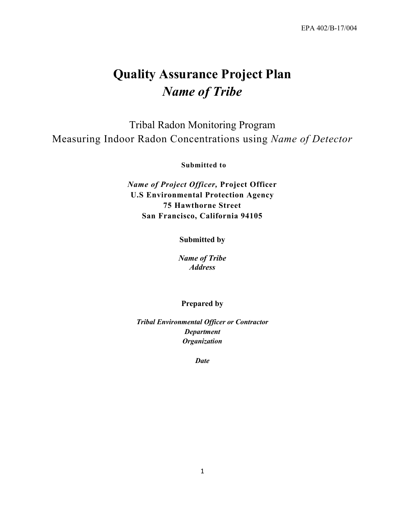# **Quality Assurance Project Plan** *Name of Tribe*

Tribal Radon Monitoring Program Measuring Indoor Radon Concentrations using *Name of Detector*

**Submitted to**

*Name of Project Officer,* **Project Officer U.S Environmental Protection Agency 75 Hawthorne Street San Francisco, California 94105**

**Submitted by**

*Name of Tribe Address*

#### **Prepared by**

*Tribal Environmental Officer or Contractor Department Organization*

*Date*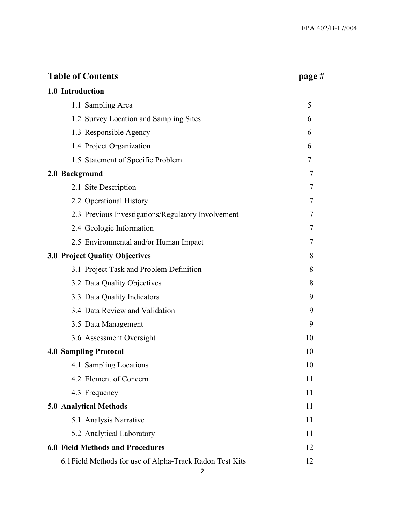| <b>Table of Contents</b>                                 | page#  |
|----------------------------------------------------------|--------|
| 1.0 Introduction                                         |        |
| 1.1 Sampling Area                                        | 5      |
| 1.2 Survey Location and Sampling Sites                   | 6      |
| 1.3 Responsible Agency                                   | 6      |
| 1.4 Project Organization                                 | 6      |
| 1.5 Statement of Specific Problem                        | 7      |
| 2.0 Background                                           | 7      |
| 2.1 Site Description                                     | 7      |
| 2.2 Operational History                                  | 7      |
| 2.3 Previous Investigations/Regulatory Involvement       | $\tau$ |
| 2.4 Geologic Information                                 | 7      |
| 2.5 Environmental and/or Human Impact                    | 7      |
| <b>3.0 Project Quality Objectives</b>                    | 8      |
| 3.1 Project Task and Problem Definition                  | 8      |
| 3.2 Data Quality Objectives                              | 8      |
| 3.3 Data Quality Indicators                              | 9      |
| 3.4 Data Review and Validation                           | 9      |
| 3.5 Data Management                                      | 9      |
| 3.6 Assessment Oversight                                 | 10     |
| <b>4.0 Sampling Protocol</b>                             | 10     |
| 4.1 Sampling Locations                                   | 10     |
| 4.2 Element of Concern                                   | 11     |
| 4.3 Frequency                                            | 11     |
| 5.0 Analytical Methods                                   | 11     |
| 5.1 Analysis Narrative                                   | 11     |
| 5.2 Analytical Laboratory                                | 11     |
| 6.0 Field Methods and Procedures                         | 12     |
| 6.1 Field Methods for use of Alpha-Track Radon Test Kits | 12     |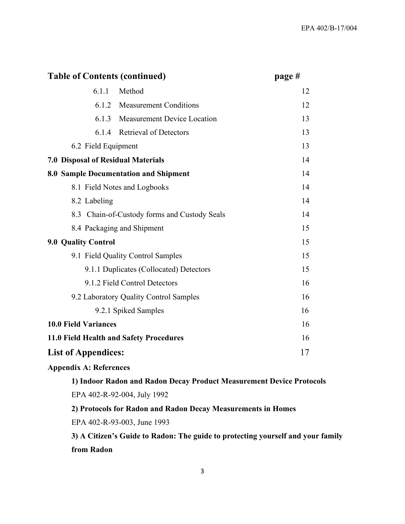| <b>Table of Contents (continued)</b>      |                                              | page # |
|-------------------------------------------|----------------------------------------------|--------|
| 6.1.1                                     | Method                                       | 12     |
| 6.1.2                                     | <b>Measurement Conditions</b>                | 12     |
| 6.1.3                                     | <b>Measurement Device Location</b>           | 13     |
| 6.1.4                                     | <b>Retrieval of Detectors</b>                | 13     |
| 6.2 Field Equipment                       |                                              | 13     |
| <b>7.0 Disposal of Residual Materials</b> |                                              | 14     |
|                                           | 8.0 Sample Documentation and Shipment        | 14     |
|                                           | 8.1 Field Notes and Logbooks                 | 14     |
| 8.2 Labeling                              |                                              | 14     |
|                                           | 8.3 Chain-of-Custody forms and Custody Seals | 14     |
|                                           | 8.4 Packaging and Shipment                   | 15     |
| <b>9.0 Quality Control</b>                |                                              | 15     |
|                                           | 9.1 Field Quality Control Samples            | 15     |
|                                           | 9.1.1 Duplicates (Collocated) Detectors      | 15     |
|                                           | 9.1.2 Field Control Detectors                | 16     |
|                                           | 9.2 Laboratory Quality Control Samples       | 16     |
|                                           | 9.2.1 Spiked Samples                         | 16     |
| <b>10.0 Field Variances</b>               |                                              | 16     |
|                                           | 11.0 Field Health and Safety Procedures      | 16     |
| <b>List of Appendices:</b>                |                                              | 17     |

### **Appendix A: References**

**1) Indoor Radon and Radon Decay Product Measurement Device Protocols** EPA 402-R-92-004, July 1992

**2) Protocols for Radon and Radon Decay Measurements in Homes**

EPA 402-R-93-003, June 1993

**3) A Citizen's Guide to Radon: The guide to protecting yourself and your family from Radon**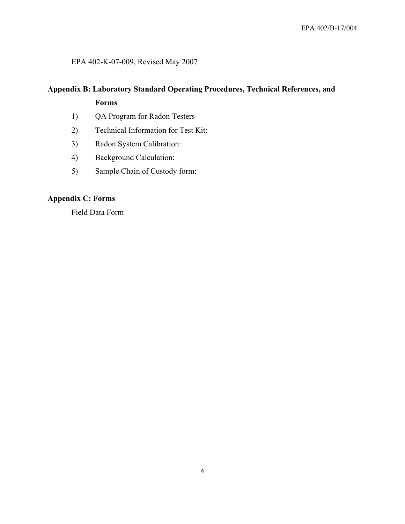### EPA 402-K-07-009, Revised May 2007

# **Appendix B: Laboratory Standard Operating Procedures, Technical References, and Forms**

- 1) QA Program for Radon Testers
- 2) Technical Information for Test Kit:
- 3) Radon System Calibration:
- 4) Background Calculation:
- 5) Sample Chain of Custody form:

# **Appendix C: Forms**

Field Data Form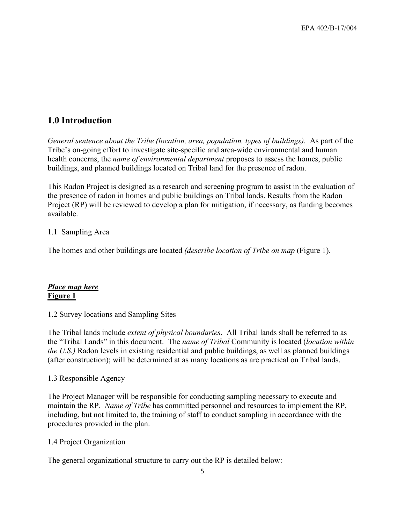# **1.0 Introduction**

*General sentence about the Tribe (location, area, population, types of buildings).* As part of the Tribe's on-going effort to investigate site-specific and area-wide environmental and human health concerns, the *name of environmental department* proposes to assess the homes, public buildings, and planned buildings located on Tribal land for the presence of radon.

This Radon Project is designed as a research and screening program to assist in the evaluation of the presence of radon in homes and public buildings on Tribal lands. Results from the Radon Project (RP) will be reviewed to develop a plan for mitigation, if necessary, as funding becomes available.

### 1.1 Sampling Area

The homes and other buildings are located *(describe location of Tribe on map* (Figure 1).

## *Place map here* **Figure 1**

1.2 Survey locations and Sampling Sites

The Tribal lands include *extent of physical boundaries*. All Tribal lands shall be referred to as the "Tribal Lands" in this document. The *name of Tribal* Community is located (*location within the U.S.)* Radon levels in existing residential and public buildings, as well as planned buildings (after construction); will be determined at as many locations as are practical on Tribal lands.

### 1.3 Responsible Agency

The Project Manager will be responsible for conducting sampling necessary to execute and maintain the RP. *Name of Tribe* has committed personnel and resources to implement the RP, including, but not limited to, the training of staff to conduct sampling in accordance with the procedures provided in the plan.

### 1.4 Project Organization

The general organizational structure to carry out the RP is detailed below: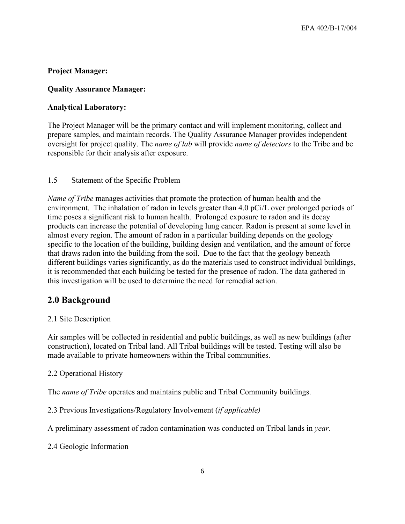### **Project Manager:**

#### **Quality Assurance Manager:**

### **Analytical Laboratory:**

The Project Manager will be the primary contact and will implement monitoring, collect and prepare samples, and maintain records. The Quality Assurance Manager provides independent oversight for project quality. The *name of lab* will provide *name of detectors* to the Tribe and be responsible for their analysis after exposure.

#### 1.5 Statement of the Specific Problem

*Name of Tribe* manages activities that promote the protection of human health and the environment. The inhalation of radon in levels greater than 4.0 pCi/L over prolonged periods of time poses a significant risk to human health. Prolonged exposure to radon and its decay products can increase the potential of developing lung cancer. Radon is present at some level in almost every region. The amount of radon in a particular building depends on the geology specific to the location of the building, building design and ventilation, and the amount of force that draws radon into the building from the soil. Due to the fact that the geology beneath different buildings varies significantly, as do the materials used to construct individual buildings, it is recommended that each building be tested for the presence of radon. The data gathered in this investigation will be used to determine the need for remedial action.

### **2.0 Background**

#### 2.1 Site Description

Air samples will be collected in residential and public buildings, as well as new buildings (after construction), located on Tribal land. All Tribal buildings will be tested. Testing will also be made available to private homeowners within the Tribal communities.

#### 2.2 Operational History

The *name of Tribe* operates and maintains public and Tribal Community buildings.

#### 2.3 Previous Investigations/Regulatory Involvement (*if applicable)*

A preliminary assessment of radon contamination was conducted on Tribal lands in *year*.

2.4 Geologic Information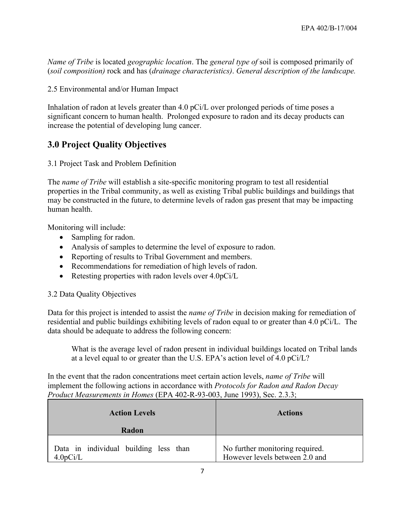*Name of Tribe* is located *geographic location*. The *general type of* soil is composed primarily of (*soil composition)* rock and has (*drainage characteristics)*. *General description of the landscape.*

2.5 Environmental and/or Human Impact

Inhalation of radon at levels greater than 4.0 pCi/L over prolonged periods of time poses a significant concern to human health. Prolonged exposure to radon and its decay products can increase the potential of developing lung cancer.

# **3.0 Project Quality Objectives**

3.1 Project Task and Problem Definition

The *name of Tribe* will establish a site-specific monitoring program to test all residential properties in the Tribal community, as well as existing Tribal public buildings and buildings that may be constructed in the future, to determine levels of radon gas present that may be impacting human health.

Monitoring will include:

- Sampling for radon.
- Analysis of samples to determine the level of exposure to radon.
- Reporting of results to Tribal Government and members.
- Recommendations for remediation of high levels of radon.
- Retesting properties with radon levels over 4.0pCi/L

3.2 Data Quality Objectives

Data for this project is intended to assist the *name of Tribe* in decision making for remediation of residential and public buildings exhibiting levels of radon equal to or greater than 4.0 pCi/L. The data should be adequate to address the following concern:

What is the average level of radon present in individual buildings located on Tribal lands at a level equal to or greater than the U.S. EPA's action level of 4.0 pCi/L?

In the event that the radon concentrations meet certain action levels, *name of Tribe* will implement the following actions in accordance with *Protocols for Radon and Radon Decay Product Measurements in Homes* (EPA 402-R-93-003, June 1993), Sec. 2.3.3;

| <b>Action Levels</b>                              | <b>Actions</b>                                                    |
|---------------------------------------------------|-------------------------------------------------------------------|
| Radon                                             |                                                                   |
| Data in individual building less than<br>4.0pCi/L | No further monitoring required.<br>However levels between 2.0 and |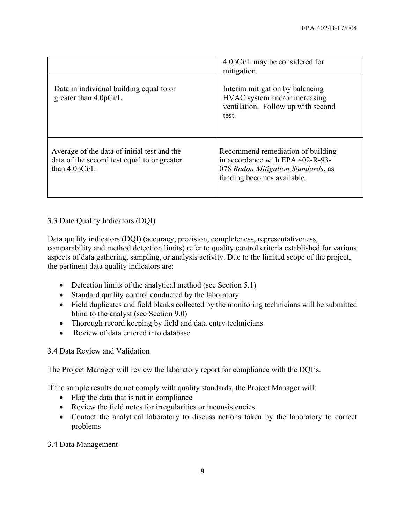|                                                                                                               | 4.0pCi/L may be considered for<br>mitigation.                                                                                             |
|---------------------------------------------------------------------------------------------------------------|-------------------------------------------------------------------------------------------------------------------------------------------|
| Data in individual building equal to or<br>greater than $4.0pCi/L$                                            | Interim mitigation by balancing<br>HVAC system and/or increasing<br>ventilation. Follow up with second<br>test.                           |
| Average of the data of initial test and the<br>data of the second test equal to or greater<br>than $4.0pCi/L$ | Recommend remediation of building<br>in accordance with EPA 402-R-93-<br>078 Radon Mitigation Standards, as<br>funding becomes available. |

## 3.3 Date Quality Indicators (DQI)

Data quality indicators (DQI) (accuracy, precision, completeness, representativeness, comparability and method detection limits) refer to quality control criteria established for various aspects of data gathering, sampling, or analysis activity. Due to the limited scope of the project, the pertinent data quality indicators are:

- Detection limits of the analytical method (see Section 5.1)
- Standard quality control conducted by the laboratory
- Field duplicates and field blanks collected by the monitoring technicians will be submitted blind to the analyst (see Section 9.0)
- Thorough record keeping by field and data entry technicians
- Review of data entered into database

### 3.4 Data Review and Validation

The Project Manager will review the laboratory report for compliance with the DQI's.

If the sample results do not comply with quality standards, the Project Manager will:

- Flag the data that is not in compliance
- Review the field notes for irregularities or inconsistencies
- Contact the analytical laboratory to discuss actions taken by the laboratory to correct problems

3.4 Data Management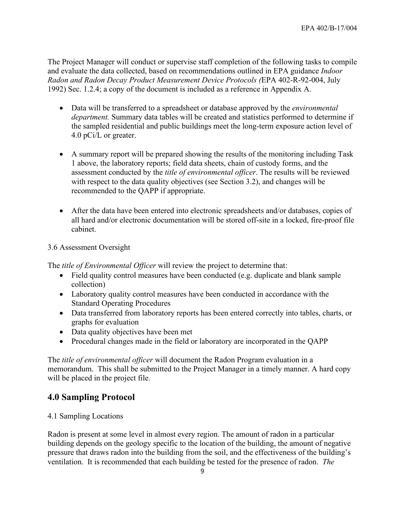The Project Manager will conduct or supervise staff completion of the following tasks to compile and evaluate the data collected, based on recommendations outlined in EPA guidance *Indoor Radon and Radon Decay Product Measurement Device Protocols (*EPA 402-R-92-004, July 1992) Sec. 1.2.4; a copy of the document is included as a reference in Appendix A.

- Data will be transferred to a spreadsheet or database approved by the *environmental department.* Summary data tables will be created and statistics performed to determine if the sampled residential and public buildings meet the long-term exposure action level of 4.0 pCi/L or greater.
- A summary report will be prepared showing the results of the monitoring including Task 1 above, the laboratory reports; field data sheets, chain of custody forms, and the assessment conducted by the *title of environmental officer*. The results will be reviewed with respect to the data quality objectives (see Section 3.2), and changes will be recommended to the QAPP if appropriate.
- After the data have been entered into electronic spreadsheets and/or databases, copies of all hard and/or electronic documentation will be stored off-site in a locked, fire-proof file cabinet.

### 3.6 Assessment Oversight

The *title of Environmental Officer* will review the project to determine that:

- Field quality control measures have been conducted (e.g. duplicate and blank sample collection)
- Laboratory quality control measures have been conducted in accordance with the Standard Operating Procedures
- Data transferred from laboratory reports has been entered correctly into tables, charts, or graphs for evaluation
- Data quality objectives have been met
- Procedural changes made in the field or laboratory are incorporated in the QAPP

The *title of environmental officer* will document the Radon Program evaluation in a memorandum. This shall be submitted to the Project Manager in a timely manner. A hard copy will be placed in the project file.

# **4.0 Sampling Protocol**

### 4.1 Sampling Locations

Radon is present at some level in almost every region. The amount of radon in a particular building depends on the geology specific to the location of the building, the amount of negative pressure that draws radon into the building from the soil, and the effectiveness of the building's ventilation. It is recommended that each building be tested for the presence of radon. *The*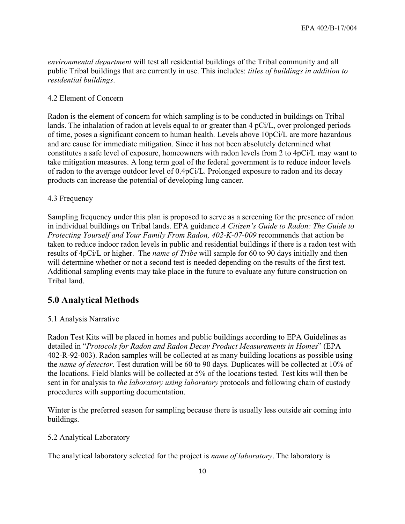*environmental department* will test all residential buildings of the Tribal community and all public Tribal buildings that are currently in use. This includes: *titles of buildings in addition to residential buildings*.

#### 4.2 Element of Concern

Radon is the element of concern for which sampling is to be conducted in buildings on Tribal lands. The inhalation of radon at levels equal to or greater than 4 pCi/L, over prolonged periods of time, poses a significant concern to human health. Levels above 10pCi/L are more hazardous and are cause for immediate mitigation. Since it has not been absolutely determined what constitutes a safe level of exposure, homeowners with radon levels from 2 to 4pCi/L may want to take mitigation measures. A long term goal of the federal government is to reduce indoor levels of radon to the average outdoor level of 0.4pCi/L. Prolonged exposure to radon and its decay products can increase the potential of developing lung cancer.

#### 4.3 Frequency

Sampling frequency under this plan is proposed to serve as a screening for the presence of radon in individual buildings on Tribal lands. EPA guidance *A Citizen's Guide to Radon: The Guide to Protecting Yourself and Your Family From Radon, 402-K-07-009* recommends that action be taken to reduce indoor radon levels in public and residential buildings if there is a radon test with results of 4pCi/L or higher. The *name of Tribe* will sample for 60 to 90 days initially and then will determine whether or not a second test is needed depending on the results of the first test. Additional sampling events may take place in the future to evaluate any future construction on Tribal land.

### **5.0 Analytical Methods**

#### 5.1 Analysis Narrative

Radon Test Kits will be placed in homes and public buildings according to EPA Guidelines as detailed in "*Protocols for Radon and Radon Decay Product Measurements in Homes*" (EPA 402-R-92-003). Radon samples will be collected at as many building locations as possible using the *name of detector*. Test duration will be 60 to 90 days. Duplicates will be collected at 10% of the locations. Field blanks will be collected at 5% of the locations tested. Test kits will then be sent in for analysis to *the laboratory using laboratory* protocols and following chain of custody procedures with supporting documentation.

Winter is the preferred season for sampling because there is usually less outside air coming into buildings.

#### 5.2 Analytical Laboratory

The analytical laboratory selected for the project is *name of laboratory*. The laboratory is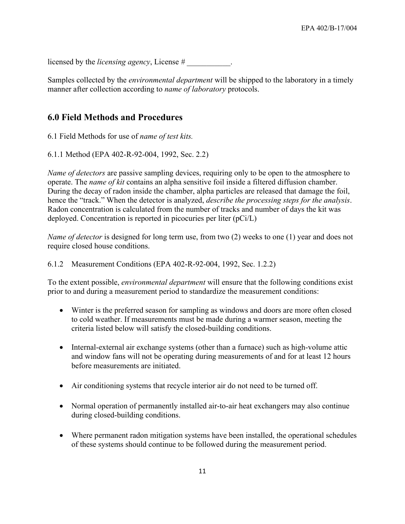licensed by the *licensing agency*, License #

Samples collected by the *environmental department* will be shipped to the laboratory in a timely manner after collection according to *name of laboratory* protocols.

# **6.0 Field Methods and Procedures**

6.1 Field Methods for use of *name of test kits.*

6.1.1 Method (EPA 402-R-92-004, 1992, Sec. 2.2)

*Name of detectors* are passive sampling devices, requiring only to be open to the atmosphere to operate. The *name of kit* contains an alpha sensitive foil inside a filtered diffusion chamber. During the decay of radon inside the chamber, alpha particles are released that damage the foil, hence the "track." When the detector is analyzed, *describe the processing steps for the analysis*. Radon concentration is calculated from the number of tracks and number of days the kit was deployed. Concentration is reported in picocuries per liter (pCi/L)

*Name of detector* is designed for long term use, from two (2) weeks to one (1) year and does not require closed house conditions.

### 6.1.2 Measurement Conditions (EPA 402-R-92-004, 1992, Sec. 1.2.2)

To the extent possible, *environmental department* will ensure that the following conditions exist prior to and during a measurement period to standardize the measurement conditions:

- Winter is the preferred season for sampling as windows and doors are more often closed to cold weather. If measurements must be made during a warmer season, meeting the criteria listed below will satisfy the closed-building conditions.
- Internal-external air exchange systems (other than a furnace) such as high-volume attic and window fans will not be operating during measurements of and for at least 12 hours before measurements are initiated.
- Air conditioning systems that recycle interior air do not need to be turned off.
- Normal operation of permanently installed air-to-air heat exchangers may also continue during closed-building conditions.
- Where permanent radon mitigation systems have been installed, the operational schedules of these systems should continue to be followed during the measurement period.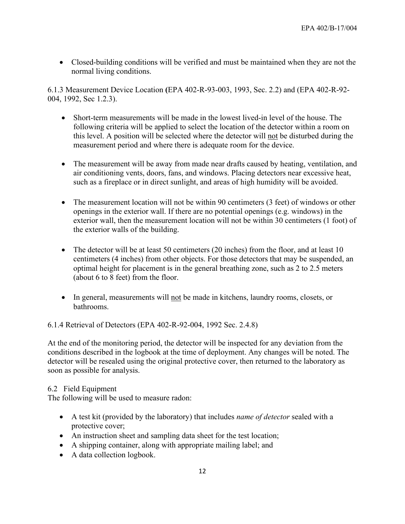• Closed-building conditions will be verified and must be maintained when they are not the normal living conditions.

6.1.3 Measurement Device Location **(**EPA 402-R-93-003, 1993, Sec. 2.2) and (EPA 402-R-92- 004, 1992, Sec 1.2.3).

- Short-term measurements will be made in the lowest lived-in level of the house. The following criteria will be applied to select the location of the detector within a room on this level. A position will be selected where the detector will not be disturbed during the measurement period and where there is adequate room for the device.
- The measurement will be away from made near drafts caused by heating, ventilation, and air conditioning vents, doors, fans, and windows. Placing detectors near excessive heat, such as a fireplace or in direct sunlight, and areas of high humidity will be avoided.
- The measurement location will not be within 90 centimeters (3 feet) of windows or other openings in the exterior wall. If there are no potential openings (e.g. windows) in the exterior wall, then the measurement location will not be within 30 centimeters (1 foot) of the exterior walls of the building.
- The detector will be at least 50 centimeters (20 inches) from the floor, and at least 10 centimeters (4 inches) from other objects. For those detectors that may be suspended, an optimal height for placement is in the general breathing zone, such as 2 to 2.5 meters (about 6 to 8 feet) from the floor.
- In general, measurements will not be made in kitchens, laundry rooms, closets, or bathrooms.

6.1.4 Retrieval of Detectors (EPA 402-R-92-004, 1992 Sec. 2.4.8)

At the end of the monitoring period, the detector will be inspected for any deviation from the conditions described in the logbook at the time of deployment. Any changes will be noted. The detector will be resealed using the original protective cover, then returned to the laboratory as soon as possible for analysis.

### 6.2 Field Equipment

The following will be used to measure radon:

- A test kit (provided by the laboratory) that includes *name of detector* sealed with a protective cover;
- An instruction sheet and sampling data sheet for the test location;
- A shipping container, along with appropriate mailing label; and
- A data collection logbook.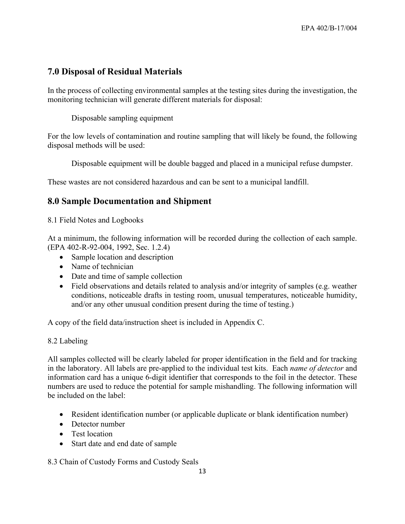# **7.0 Disposal of Residual Materials**

In the process of collecting environmental samples at the testing sites during the investigation, the monitoring technician will generate different materials for disposal:

Disposable sampling equipment

For the low levels of contamination and routine sampling that will likely be found, the following disposal methods will be used:

Disposable equipment will be double bagged and placed in a municipal refuse dumpster.

These wastes are not considered hazardous and can be sent to a municipal landfill.

# **8.0 Sample Documentation and Shipment**

8.1 Field Notes and Logbooks

At a minimum, the following information will be recorded during the collection of each sample. (EPA 402-R-92-004, 1992, Sec. 1.2.4)

- Sample location and description
- Name of technician
- Date and time of sample collection
- Field observations and details related to analysis and/or integrity of samples (e.g. weather conditions, noticeable drafts in testing room, unusual temperatures, noticeable humidity, and/or any other unusual condition present during the time of testing.)

A copy of the field data/instruction sheet is included in Appendix C.

### 8.2 Labeling

All samples collected will be clearly labeled for proper identification in the field and for tracking in the laboratory. All labels are pre-applied to the individual test kits. Each *name of detector* and information card has a unique 6-digit identifier that corresponds to the foil in the detector. These numbers are used to reduce the potential for sample mishandling. The following information will be included on the label:

- Resident identification number (or applicable duplicate or blank identification number)
- Detector number
- Test location
- Start date and end date of sample

8.3 Chain of Custody Forms and Custody Seals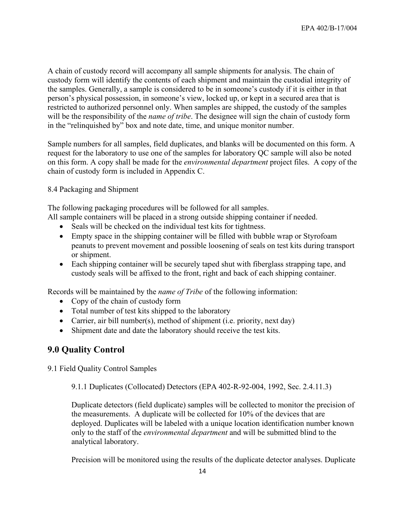A chain of custody record will accompany all sample shipments for analysis. The chain of custody form will identify the contents of each shipment and maintain the custodial integrity of the samples. Generally, a sample is considered to be in someone's custody if it is either in that person's physical possession, in someone's view, locked up, or kept in a secured area that is restricted to authorized personnel only. When samples are shipped, the custody of the samples will be the responsibility of the *name of tribe*. The designee will sign the chain of custody form in the "relinquished by" box and note date, time, and unique monitor number.

Sample numbers for all samples, field duplicates, and blanks will be documented on this form. A request for the laboratory to use one of the samples for laboratory QC sample will also be noted on this form. A copy shall be made for the *environmental department* project files. A copy of the chain of custody form is included in Appendix C.

8.4 Packaging and Shipment

The following packaging procedures will be followed for all samples.

- All sample containers will be placed in a strong outside shipping container if needed.
	- Seals will be checked on the individual test kits for tightness.
	- Empty space in the shipping container will be filled with bubble wrap or Styrofoam peanuts to prevent movement and possible loosening of seals on test kits during transport or shipment.
	- Each shipping container will be securely taped shut with fiberglass strapping tape, and custody seals will be affixed to the front, right and back of each shipping container.

Records will be maintained by the *name of Tribe* of the following information:

- Copy of the chain of custody form
- Total number of test kits shipped to the laboratory
- Carrier, air bill number(s), method of shipment (i.e. priority, next day)
- Shipment date and date the laboratory should receive the test kits.

# **9.0 Quality Control**

9.1 Field Quality Control Samples

9.1.1 Duplicates (Collocated) Detectors (EPA 402-R-92-004, 1992, Sec. 2.4.11.3)

Duplicate detectors (field duplicate) samples will be collected to monitor the precision of the measurements. A duplicate will be collected for 10% of the devices that are deployed. Duplicates will be labeled with a unique location identification number known only to the staff of the *environmental department* and will be submitted blind to the analytical laboratory.

Precision will be monitored using the results of the duplicate detector analyses. Duplicate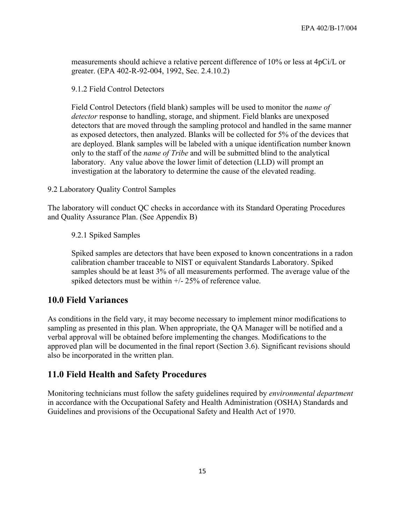measurements should achieve a relative percent difference of 10% or less at 4pCi/L or greater. (EPA 402-R-92-004, 1992, Sec. 2.4.10.2)

9.1.2 Field Control Detectors

Field Control Detectors (field blank) samples will be used to monitor the *name of detector* response to handling, storage, and shipment. Field blanks are unexposed detectors that are moved through the sampling protocol and handled in the same manner as exposed detectors, then analyzed. Blanks will be collected for 5% of the devices that are deployed. Blank samples will be labeled with a unique identification number known only to the staff of the *name of Tribe* and will be submitted blind to the analytical laboratory. Any value above the lower limit of detection (LLD) will prompt an investigation at the laboratory to determine the cause of the elevated reading.

9.2 Laboratory Quality Control Samples

The laboratory will conduct QC checks in accordance with its Standard Operating Procedures and Quality Assurance Plan. (See Appendix B)

9.2.1 Spiked Samples

Spiked samples are detectors that have been exposed to known concentrations in a radon calibration chamber traceable to NIST or equivalent Standards Laboratory. Spiked samples should be at least 3% of all measurements performed. The average value of the spiked detectors must be within +/- 25% of reference value.

### **10.0 Field Variances**

As conditions in the field vary, it may become necessary to implement minor modifications to sampling as presented in this plan. When appropriate, the QA Manager will be notified and a verbal approval will be obtained before implementing the changes. Modifications to the approved plan will be documented in the final report (Section 3.6). Significant revisions should also be incorporated in the written plan.

### **11.0 Field Health and Safety Procedures**

Monitoring technicians must follow the safety guidelines required by *environmental department* in accordance with the Occupational Safety and Health Administration (OSHA) Standards and Guidelines and provisions of the Occupational Safety and Health Act of 1970.